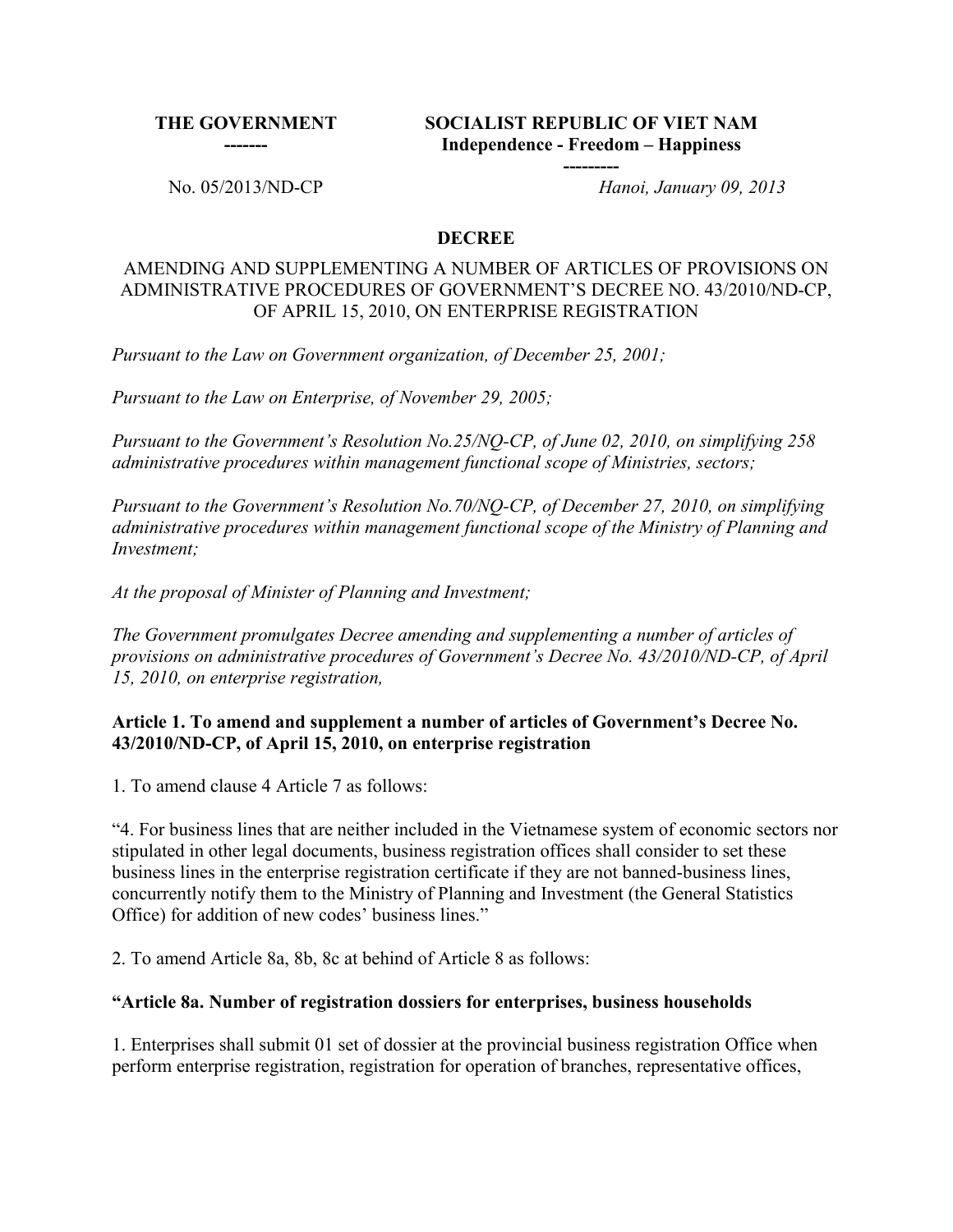**THE GOVERNMENT -------**

**SOCIALIST REPUBLIC OF VIET NAM Independence - Freedom – Happiness**

**---------**

No. 05/2013/ND-CP *Hanoi, January 09, 2013*

#### **DECREE**

#### AMENDING AND SUPPLEMENTING A NUMBER OF ARTICLES OF PROVISIONS ON ADMINISTRATIVE PROCEDURES OF GOVERNMENT'S DECREE NO. 43/2010/ND-CP, OF APRIL 15, 2010, ON ENTERPRISE REGISTRATION

*Pursuant to the Law on Government organization, of December 25, 2001;*

*Pursuant to the Law on Enterprise, of November 29, 2005;*

*Pursuant to the Government's Resolution No.25/NQ-CP, of June 02, 2010, on simplifying 258 administrative procedures within management functional scope of Ministries, sectors;*

*Pursuant to the Government's Resolution No.70/NQ-CP, of December 27, 2010, on simplifying administrative procedures within management functional scope of the Ministry of Planning and Investment;*

*At the proposal of Minister of Planning and Investment;*

*The Government promulgates Decree amending and supplementing a number of articles of provisions on administrative procedures of Government's Decree No. 43/2010/ND-CP, of April 15, 2010, on enterprise registration,*

#### **Article 1. To amend and supplement a number of articles of Government's Decree No. 43/2010/ND-CP, of April 15, 2010, on enterprise registration**

1. To amend clause 4 Article 7 as follows:

"4. For business lines that are neither included in the Vietnamese system of economic sectors nor stipulated in other legal documents, business registration offices shall consider to set these business lines in the enterprise registration certificate if they are not banned-business lines, concurrently notify them to the Ministry of Planning and Investment (the General Statistics Office) for addition of new codes' business lines."

2. To amend Article 8a, 8b, 8c at behind of Article 8 as follows:

#### **"Article 8a. Number of registration dossiers for enterprises, business households**

1. Enterprises shall submit 01 set of dossier at the provincial business registration Office when perform enterprise registration, registration for operation of branches, representative offices,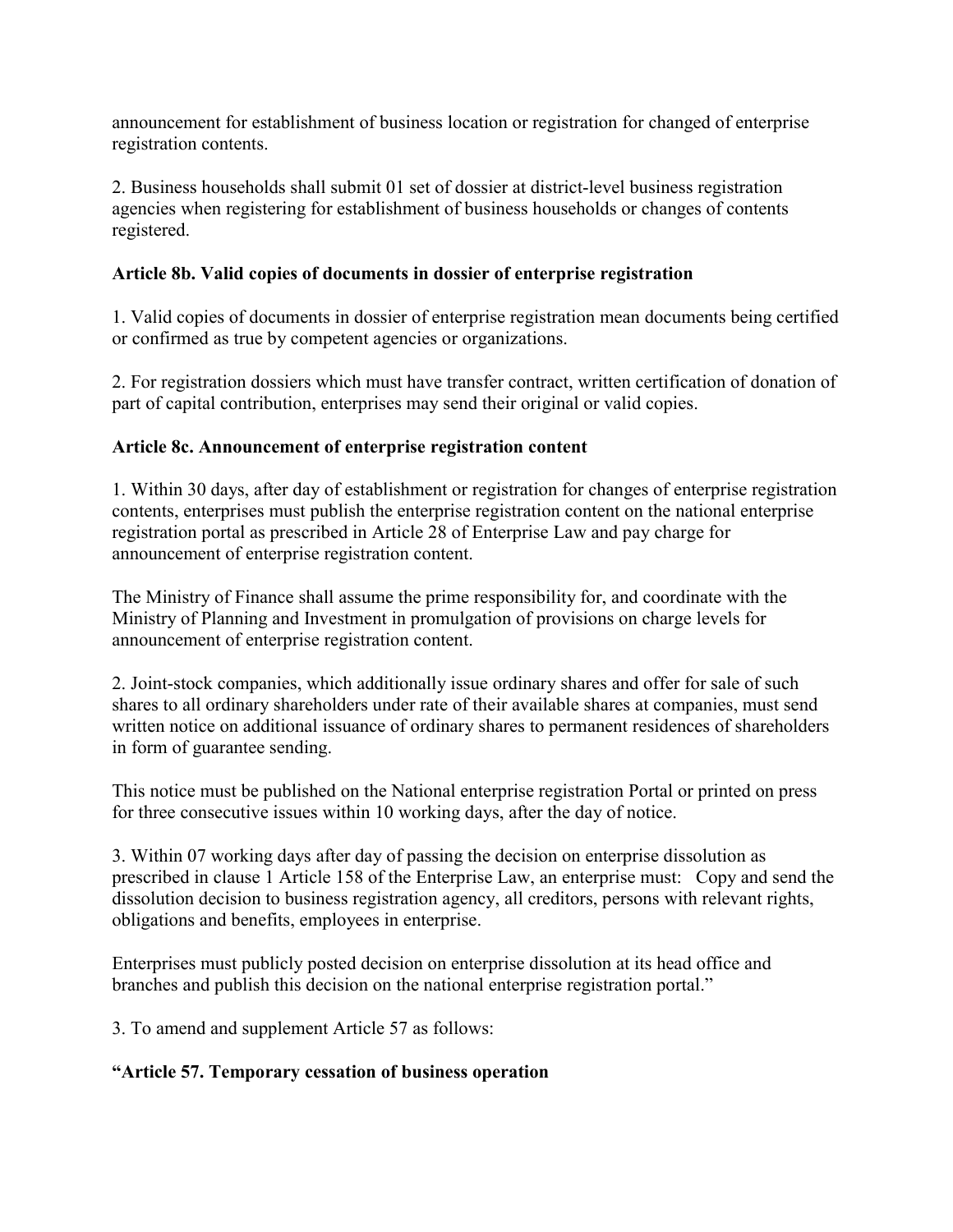announcement for establishment of business location or registration for changed of enterprise registration contents.

2. Business households shall submit 01 set of dossier at district-level business registration agencies when registering for establishment of business households or changes of contents registered.

# **Article 8b. Valid copies of documents in dossier of enterprise registration**

1. Valid copies of documents in dossier of enterprise registration mean documents being certified or confirmed as true by competent agencies or organizations.

2. For registration dossiers which must have transfer contract, written certification of donation of part of capital contribution, enterprises may send their original or valid copies.

# **Article 8c. Announcement of enterprise registration content**

1. Within 30 days, after day of establishment or registration for changes of enterprise registration contents, enterprises must publish the enterprise registration content on the national enterprise registration portal as prescribed in Article 28 of Enterprise Law and pay charge for announcement of enterprise registration content.

The Ministry of Finance shall assume the prime responsibility for, and coordinate with the Ministry of Planning and Investment in promulgation of provisions on charge levels for announcement of enterprise registration content.

2. Joint-stock companies, which additionally issue ordinary shares and offer for sale of such shares to all ordinary shareholders under rate of their available shares at companies, must send written notice on additional issuance of ordinary shares to permanent residences of shareholders in form of guarantee sending.

This notice must be published on the National enterprise registration Portal or printed on press for three consecutive issues within 10 working days, after the day of notice.

3. Within 07 working days after day of passing the decision on enterprise dissolution as prescribed in clause 1 Article 158 of the Enterprise Law, an enterprise must: Copy and send the dissolution decision to business registration agency, all creditors, persons with relevant rights, obligations and benefits, employees in enterprise.

Enterprises must publicly posted decision on enterprise dissolution at its head office and branches and publish this decision on the national enterprise registration portal."

3. To amend and supplement Article 57 as follows:

# **"Article 57. Temporary cessation of business operation**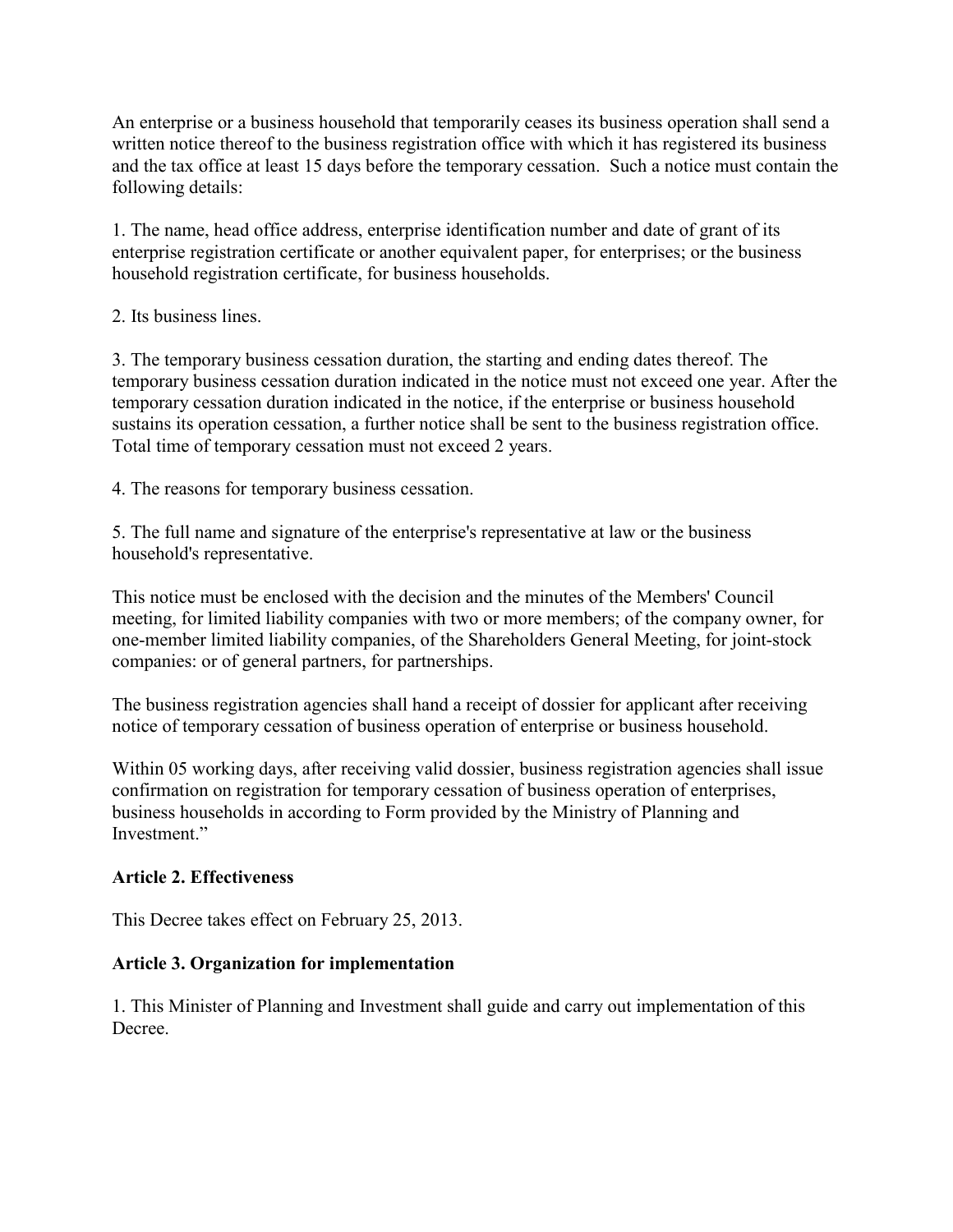An enterprise or a business household that temporarily ceases its business operation shall send a written notice thereof to the business registration office with which it has registered its business and the tax office at least 15 days before the temporary cessation. Such a notice must contain the following details:

1. The name, head office address, enterprise identification number and date of grant of its enterprise registration certificate or another equivalent paper, for enterprises; or the business household registration certificate, for business households.

### 2. Its business lines.

3. The temporary business cessation duration, the starting and ending dates thereof. The temporary business cessation duration indicated in the notice must not exceed one year. After the temporary cessation duration indicated in the notice, if the enterprise or business household sustains its operation cessation, a further notice shall be sent to the business registration office. Total time of temporary cessation must not exceed 2 years.

4. The reasons for temporary business cessation.

5. The full name and signature of the enterprise's representative at law or the business household's representative.

This notice must be enclosed with the decision and the minutes of the Members' Council meeting, for limited liability companies with two or more members; of the company owner, for one-member limited liability companies, of the Shareholders General Meeting, for joint-stock companies: or of general partners, for partnerships.

The business registration agencies shall hand a receipt of dossier for applicant after receiving notice of temporary cessation of business operation of enterprise or business household.

Within 05 working days, after receiving valid dossier, business registration agencies shall issue confirmation on registration for temporary cessation of business operation of enterprises, business households in according to Form provided by the Ministry of Planning and Investment."

# **Article 2. Effectiveness**

This Decree takes effect on February 25, 2013.

# **Article 3. Organization for implementation**

1. This Minister of Planning and Investment shall guide and carry out implementation of this Decree.